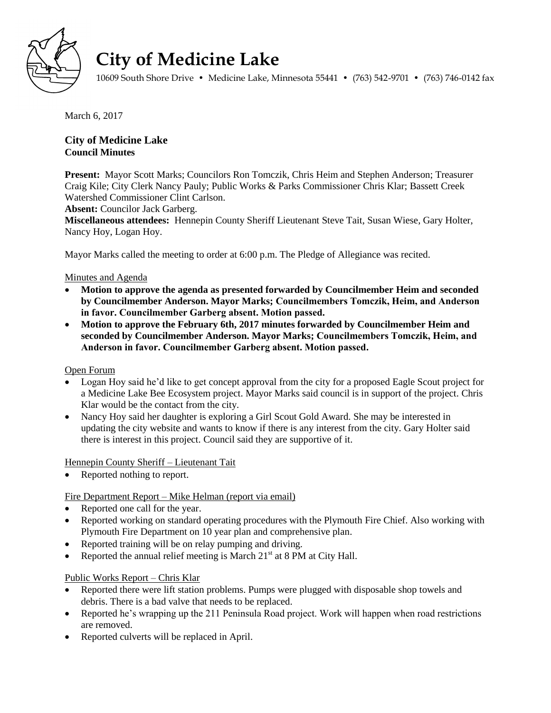

# **City of Medicine Lake**

10609 South Shore Drive • Medicine Lake, Minnesota 55441 • (763) 542-9701 • (763) 746-0142 fax

March 6, 2017

# **City of Medicine Lake Council Minutes**

**Present:** Mayor Scott Marks; Councilors Ron Tomczik, Chris Heim and Stephen Anderson; Treasurer Craig Kile; City Clerk Nancy Pauly; Public Works & Parks Commissioner Chris Klar; Bassett Creek Watershed Commissioner Clint Carlson.

**Absent:** Councilor Jack Garberg.

**Miscellaneous attendees:** Hennepin County Sheriff Lieutenant Steve Tait, Susan Wiese, Gary Holter, Nancy Hoy, Logan Hoy.

Mayor Marks called the meeting to order at 6:00 p.m. The Pledge of Allegiance was recited.

# Minutes and Agenda

- **Motion to approve the agenda as presented forwarded by Councilmember Heim and seconded by Councilmember Anderson. Mayor Marks; Councilmembers Tomczik, Heim, and Anderson in favor. Councilmember Garberg absent. Motion passed.**
- **Motion to approve the February 6th, 2017 minutes forwarded by Councilmember Heim and seconded by Councilmember Anderson. Mayor Marks; Councilmembers Tomczik, Heim, and Anderson in favor. Councilmember Garberg absent. Motion passed.**

Open Forum

- Logan Hoy said he'd like to get concept approval from the city for a proposed Eagle Scout project for a Medicine Lake Bee Ecosystem project. Mayor Marks said council is in support of the project. Chris Klar would be the contact from the city.
- Nancy Hoy said her daughter is exploring a Girl Scout Gold Award. She may be interested in updating the city website and wants to know if there is any interest from the city. Gary Holter said there is interest in this project. Council said they are supportive of it.

Hennepin County Sheriff – Lieutenant Tait

• Reported nothing to report.

# Fire Department Report – Mike Helman (report via email)

- Reported one call for the year.
- Reported working on standard operating procedures with the Plymouth Fire Chief. Also working with Plymouth Fire Department on 10 year plan and comprehensive plan.
- Reported training will be on relay pumping and driving.
- Reported the annual relief meeting is March  $21<sup>st</sup>$  at 8 PM at City Hall.

# Public Works Report – Chris Klar

- Reported there were lift station problems. Pumps were plugged with disposable shop towels and debris. There is a bad valve that needs to be replaced.
- Reported he's wrapping up the 211 Peninsula Road project. Work will happen when road restrictions are removed.
- Reported culverts will be replaced in April.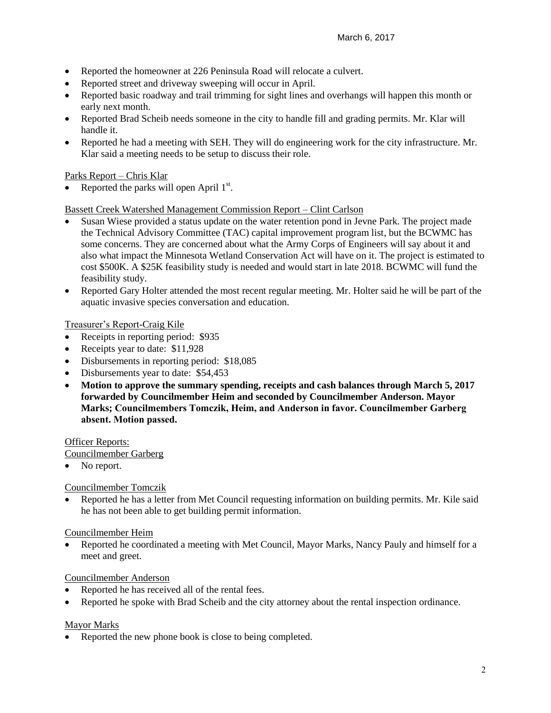- Reported the homeowner at 226 Peninsula Road will relocate a culvert.
- Reported street and driveway sweeping will occur in April.
- Reported basic roadway and trail trimming for sight lines and overhangs will happen this month or early next month.
- Reported Brad Scheib needs someone in the city to handle fill and grading permits. Mr. Klar will handle it.
- Reported he had a meeting with SEH. They will do engineering work for the city infrastructure. Mr. Klar said a meeting needs to be setup to discuss their role.

## Parks Report – Chris Klar

• Reported the parks will open April  $1<sup>st</sup>$ .

## Bassett Creek Watershed Management Commission Report – Clint Carlson

- Susan Wiese provided a status update on the water retention pond in Jevne Park. The project made the Technical Advisory Committee (TAC) capital improvement program list, but the BCWMC has some concerns. They are concerned about what the Army Corps of Engineers will say about it and also what impact the Minnesota Wetland Conservation Act will have on it. The project is estimated to cost \$500K. A \$25K feasibility study is needed and would start in late 2018. BCWMC will fund the feasibility study.
- Reported Gary Holter attended the most recent regular meeting. Mr. Holter said he will be part of the aquatic invasive species conversation and education.

## Treasurer's Report-Craig Kile

- Receipts in reporting period: \$935
- Receipts year to date: \$11,928
- Disbursements in reporting period: \$18,085
- Disbursements year to date: \$54,453
- **Motion to approve the summary spending, receipts and cash balances through March 5, 2017 forwarded by Councilmember Heim and seconded by Councilmember Anderson. Mayor Marks; Councilmembers Tomczik, Heim, and Anderson in favor. Councilmember Garberg absent. Motion passed.**

## Officer Reports:

Councilmember Garberg

• No report.

Councilmember Tomczik

 Reported he has a letter from Met Council requesting information on building permits. Mr. Kile said he has not been able to get building permit information.

## Councilmember Heim

 Reported he coordinated a meeting with Met Council, Mayor Marks, Nancy Pauly and himself for a meet and greet.

## Councilmember Anderson

- Reported he has received all of the rental fees.
- Reported he spoke with Brad Scheib and the city attorney about the rental inspection ordinance.

## Mayor Marks

• Reported the new phone book is close to being completed.